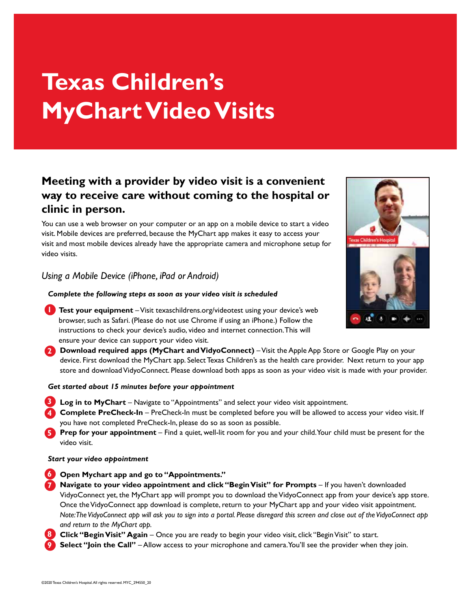# **Texas Children's MyChart Video Visits**

# **Meeting with a provider by video visit is a convenient way to receive care without coming to the hospital or clinic in person.**

You can use a web browser on your computer or an app on a mobile device to start a video visit. Mobile devices are preferred, because the MyChart app makes it easy to access your visit and most mobile devices already have the appropriate camera and microphone setup for video visits.

# *Using a Mobile Device (iPhone, iPad or Android)*

## *Complete the following steps as soon as your video visit is scheduled*

- **1. Test your equipment** Visit texaschildrens.org/videotest using your device's web browser, such as Safari. (Please do not use Chrome if using an iPhone.) Follow the instructions to check your device's audio, video and internet connection. This will ensure your device can support your video visit.
- **2.** Download required apps (MyChart and VidyoConnect) Visit the Apple App Store or Google Play on your device. First download the MyChart app. Select Texas Children's as the health care provider. Next return to your app store and download VidyoConnect. Please download both apps as soon as your video visit is made with your provider.

## *Get started about 15 minutes before your appointment*

- **13** Log in to MyChart Navigate to "Appointments" and select your video visit appointment.
- **4. Complete PreCheck-In** PreCheck-In must be completed before you will be allowed to access your video visit. If you have not completed PreCheck-In, please do so as soon as possible.
- **5** Prep for your appointment Find a quiet, well-lit room for you and your child. Your child must be present for the video visit.

## *Start your video appointment*

- **6** Open Mychart app and go to "Appointments."
	- **Navigate to your video appointment and click "Begin Visit" for Prompts If you haven't downloaded** VidyoConnect yet, the MyChart app will prompt you to download the VidyoConnect app from your device's app store. Once the VidyoConnect app download is complete, return to your MyChart app and your video visit appointment. *Note: The VidyoConnect app will ask you to sign into a portal. Please disregard this screen and close out of the VidyoConnect app and return to the MyChart app.* **7**
- **8. Click "Begin Visit" Again** Once you are ready to begin your video visit, click "Begin Visit" to start.
- **Select "Join the Call"** Allow access to your microphone and camera. You'll see the provider when they join. **9**